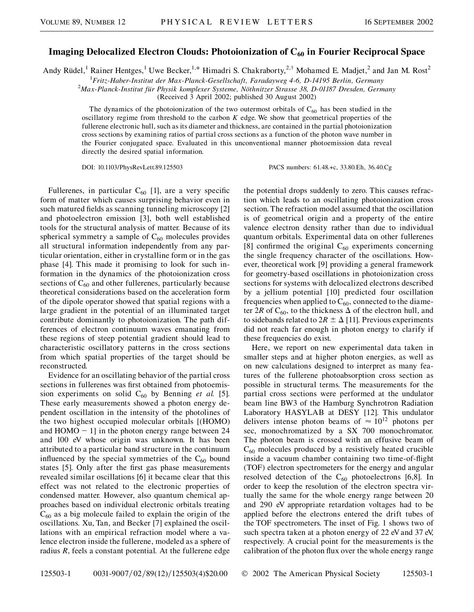## Imaging Delocalized Electron Clouds: Photoionization of C<sub>60</sub> in Fourier Reciprocal Space

Andy Rüdel,<sup>1</sup> Rainer Hentges,<sup>1</sup> Uwe Becker,<sup>1,\*</sup> Himadri S. Chakraborty,<sup>2,†</sup> Mohamed E. Madjet,<sup>2</sup> and Jan M. Rost<sup>2</sup>

<sup>1</sup> Fritz-Haber-Institut der Max-Planck-Gesellschaft, Faradayweg 4-6, D-14195 Berlin, Germany<br><sup>2</sup>Max Planck Institut für Physik komplexer Systeme, Nöthnitzer Strasse 38, D 01187 Dresden, Germ

<sup>2</sup>Max-Planck-Institut für Physik komplexer Systeme, Nöthnitzer Strasse 38, D-01187 Dresden, Germany

(Received 3 April 2002; published 30 August 2002)

The dynamics of the photoionization of the two outermost orbitals of  $C_{60}$  has been studied in the oscillatory regime from threshold to the carbon *K* edge. We show that geometrical properties of the fullerene electronic hull, such as its diameter and thickness, are contained in the partial photoionization cross sections by examining ratios of partial cross sections as a function of the photon wave number in the Fourier conjugated space. Evaluated in this unconventional manner photoemission data reveal directly the desired spatial information.

DOI: 10.1103/PhysRevLett.89.125503 PACS numbers: 61.48.+c, 33.80.Eh, 36.40.Cg

Fullerenes, in particular  $C_{60}$  [1], are a very specific form of matter which causes surprising behavior even in such matured fields as scanning tunneling microscopy [2] and photoelectron emission [3], both well established tools for the structural analysis of matter. Because of its spherical symmetry a sample of  $C_{60}$  molecules provides all structural information independently from any particular orientation, either in crystalline form or in the gas phase [4]. This made it promising to look for such information in the dynamics of the photoionization cross sections of  $C_{60}$  and other fullerenes, particularly because theoretical considerations based on the acceleration form of the dipole operator showed that spatial regions with a large gradient in the potential of an illuminated target contribute dominantly to photoionization. The path differences of electron continuum waves emanating from these regions of steep potential gradient should lead to characteristic oscillatory patterns in the cross sections from which spatial properties of the target should be reconstructed.

Evidence for an oscillating behavior of the partial cross sections in fullerenes was first obtained from photoemission experiments on solid  $C_{60}$  by Benning *et al.* [5]. These early measurements showed a photon energy dependent oscillation in the intensity of the photolines of the two highest occupied molecular orbitals [(HOMO) and  $HOMO - 1$ ] in the photon energy range between 24 and 100 eV whose origin was unknown. It has been attributed to a particular band structure in the continuum influenced by the special symmetries of the  $C_{60}$  bound states [5]. Only after the first gas phase measurements revealed similar oscillations [6] it became clear that this effect was not related to the electronic properties of condensed matter. However, also quantum chemical approaches based on individual electronic orbitals treating  $C_{60}$  as a big molecule failed to explain the origin of the oscillations. Xu, Tan, and Becker [7] explained the oscillations with an empirical refraction model where a valence electron inside the fullerene, modeled as a sphere of radius *R*, feels a constant potential. At the fullerene edge the potential drops suddenly to zero. This causes refraction which leads to an oscillating photoionization cross section. The refraction model assumed that the oscillation is of geometrical origin and a property of the entire valence electron density rather than due to individual quantum orbitals. Experimental data on other fullerenes [8] confirmed the original  $C_{60}$  experiments concerning the single frequency character of the oscillations. However, theoretical work [9] providing a general framework for geometry-based oscillations in photoionization cross sections for systems with delocalized electrons described by a jellium potential [10] predicted four oscillation frequencies when applied to  $C_{60}$ , connected to the diameter 2*R* of C<sub>60</sub>, to the thickness  $\Delta$  of the electron hull, and to sidebands related to  $2R \pm \Delta$  [11]. Previous experiments did not reach far enough in photon energy to clarify if these frequencies do exist.

Here, we report on new experimental data taken in smaller steps and at higher photon energies, as well as on new calculations designed to interpret as many features of the fullerene photoabsorption cross section as possible in structural terms. The measurements for the partial cross sections were performed at the undulator beam line BW3 of the Hamburg Synchrotron Radiation Laboratory HASYLAB at DESY [12]. This undulator delivers intense photon beams of  $\approx 10^{12}$  photons per sec, monochromatized by a SX 700 monochromator. The photon beam is crossed with an effusive beam of  $C_{60}$  molecules produced by a resistively heated crucible inside a vacuum chamber containing two time-of-flight (TOF) electron spectrometers for the energy and angular resolved detection of the  $C_{60}$  photoelectrons [6,8]. In order to keep the resolution of the electron spectra virtually the same for the whole energy range between 20 and 290 eV appropriate retardation voltages had to be applied before the electrons entered the drift tubes of the TOF spectrometers. The inset of Fig. 1 shows two of such spectra taken at a photon energy of 22 eV and 37 eV, respectively. A crucial point for the measurements is the calibration of the photon flux over the whole energy range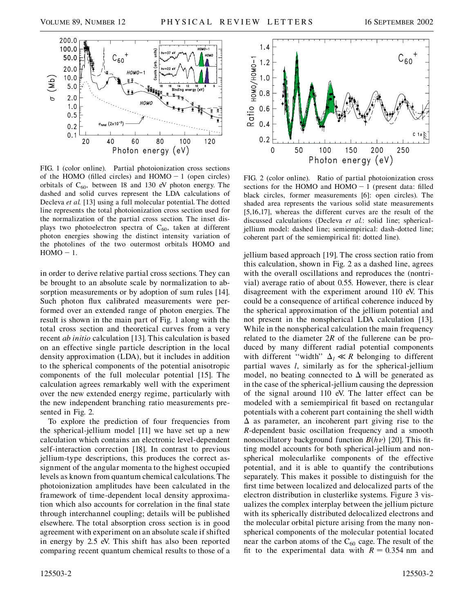

FIG. 1 (color online). Partial photoionization cross sections of the HOMO (filled circles) and  $HOMO - 1$  (open circles) orbitals of  $C_{60}$ , between 18 and 130 eV photon energy. The dashed and solid curves represent the LDA calculations of Decleva *et al.* [13] using a full molecular potential. The dotted line represents the total photoionization cross section used for the normalization of the partial cross section. The inset displays two photoelectron spectra of  $C_{60}$ , taken at different photon energies showing the distinct intensity variation of the photolines of the two outermost orbitals HOMO and  $HOMO - 1$ .

in order to derive relative partial cross sections. They can be brought to an absolute scale by normalization to absorption measurements or by adoption of sum rules [14]. Such photon flux calibrated measurements were performed over an extended range of photon energies. The result is shown in the main part of Fig. 1 along with the total cross section and theoretical curves from a very recent *ab initio* calculation [13]. This calculation is based on an effective single particle description in the local density approximation (LDA), but it includes in addition to the spherical components of the potential anisotropic components of the full molecular potential [15]. The calculation agrees remarkably well with the experiment over the new extended energy regime, particularly with the new independent branching ratio measurements presented in Fig. 2.

To explore the prediction of four frequencies from the spherical-jellium model [11] we have set up a new calculation which contains an electronic level-dependent self-interaction correction [18]. In contrast to previous jellium-type descriptions, this produces the correct assignment of the angular momenta to the highest occupied levels as known from quantum chemical calculations. The photoionization amplitudes have been calculated in the framework of time-dependent local density approximation which also accounts for correlation in the final state through interchannel coupling; details will be published elsewhere. The total absorption cross section is in good agreement with experiment on an absolute scale if shifted in energy by 2.5 eV. This shift has also been reported comparing recent quantum chemical results to those of a



FIG. 2 (color online). Ratio of partial photoionization cross sections for the HOMO and  $HOMO - 1$  (present data: filled black circles, former measurements [6]: open circles). The shaded area represents the various solid state measurements [5,16,17], whereas the different curves are the result of the discussed calculations (Decleva *et al.*: solid line; sphericaljellium model: dashed line; semiempirical: dash-dotted line; coherent part of the semiempirical fit: dotted line).

jellium based approach [19]. The cross section ratio from this calculation, shown in Fig. 2 as a dashed line, agrees with the overall oscillations and reproduces the (nontrivial) average ratio of about 0.55. However, there is clear disagreement with the experiment around 110 eV. This could be a consequence of artifical coherence induced by the spherical approximation of the jellium potential and not present in the nonspherical LDA calculation [13]. While in the nonspherical calculation the main frequency related to the diameter 2*R* of the fullerene can be produced by many different radial potential components with different "width"  $\Delta_l \ll R$  belonging to different partial waves *l*, similarly as for the spherical-jellium model, no beating connected to  $\Delta$  will be generated as in the case of the spherical-jellium causing the depression of the signal around 110 eV. The latter effect can be modeled with a semiempirical fit based on rectangular potentials with a coherent part containing the shell width  $\Delta$  as parameter, an incoherent part giving rise to the *R*-dependent basic oscillation frequency and a smooth nonoscillatory background function  $B(h\nu)$  [20]. This fitting model accounts for both spherical-jellium and nonspherical molecularlike components of the effective potential, and it is able to quantify the contributions separately. This makes it possible to distinguish for the first time between localized and delocalized parts of the electron distribution in clusterlike systems. Figure 3 visualizes the complex interplay between the jellium picture with its spherically distributed delocalized electrons and the molecular orbital picture arising from the many nonspherical components of the molecular potential located near the carbon atoms of the  $C_{60}$  cage. The result of the fit to the experimental data with  $R = 0.354$  nm and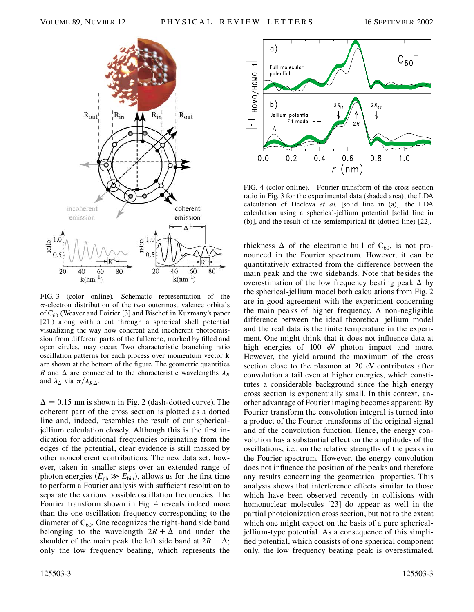

FIG. 3 (color online). Schematic representation of the  $\pi$ -electron distribution of the two outermost valence orbitals of  $C_{60}$  (Weaver and Poirier [3] and Bischof in Kuzmany's paper [21]) along with a cut through a spherical shell potential visualizing the way how coherent and incoherent photoemission from different parts of the fullerene, marked by filled and open circles, may occur. Two characteristic branching ratio oscillation patterns for each process over momentum vector **k** are shown at the bottom of the figure. The geometric quantities *R* and  $\Delta$  are connected to the characteristic wavelengths  $\lambda_R$ and  $\lambda_{\Delta}$  via  $\pi/\lambda_{R,\Delta}$ .

 $\Delta = 0.15$  nm is shown in Fig. 2 (dash-dotted curve). The coherent part of the cross section is plotted as a dotted line and, indeed, resembles the result of our sphericaljellium calculation closely. Although this is the first indication for additional frequencies originating from the edges of the potential, clear evidence is still masked by other noncoherent contributions. The new data set, however, taken in smaller steps over an extended range of photon energies  $(E_{ph} \gg E_{bin})$ , allows us for the first time to perform a Fourier analysis with sufficient resolution to separate the various possible oscillation frequencies. The Fourier transform shown in Fig. 4 reveals indeed more than the one oscillation frequency corresponding to the diameter of  $C_{60}$ . One recognizes the right-hand side band belonging to the wavelength  $2R + \Delta$  and under the shoulder of the main peak the left side band at  $2R - \Delta$ ; only the low frequency beating, which represents the



FIG. 4 (color online). Fourier transform of the cross section ratio in Fig. 3 for the experimental data (shaded area), the LDA calculation of Decleva *et al.* [solid line in (a)], the LDA calculation using a spherical-jellium potential [solid line in (b)], and the result of the semiempirical fit (dotted line) [22].

thickness  $\Delta$  of the electronic hull of C<sub>60</sub>, is not pronounced in the Fourier spectrum. However, it can be quantitatively extracted from the difference between the main peak and the two sidebands. Note that besides the overestimation of the low frequency beating peak  $\Delta$  by the spherical-jellium model both calculations from Fig. 2 are in good agreement with the experiment concerning the main peaks of higher frequency. A non-negligible difference between the ideal theoretical jellium model and the real data is the finite temperature in the experiment. One might think that it does not influence data at high energies of 100 eV photon impact and more. However, the yield around the maximum of the cross section close to the plasmon at 20 eV contributes after convolution a tail even at higher energies, which constitutes a considerable background since the high energy cross section is exponentially small. In this context, another advantage of Fourier imaging becomes apparent: By Fourier transform the convolution integral is turned into a product of the Fourier transforms of the original signal and of the convolution function. Hence, the energy convolution has a substantial effect on the amplitudes of the oscillations, i.e., on the relative strengths of the peaks in the Fourier spectrum. However, the energy convolution does not influence the position of the peaks and therefore any results concerning the geometrical properties. This analysis shows that interference effects similar to those which have been observed recently in collisions with homonuclear molecules [23] do appear as well in the partial photoionization cross section, but not to the extent which one might expect on the basis of a pure sphericaljellium-type potential. As a consequence of this simplified potential, which consists of one spherical component only, the low frequency beating peak is overestimated.